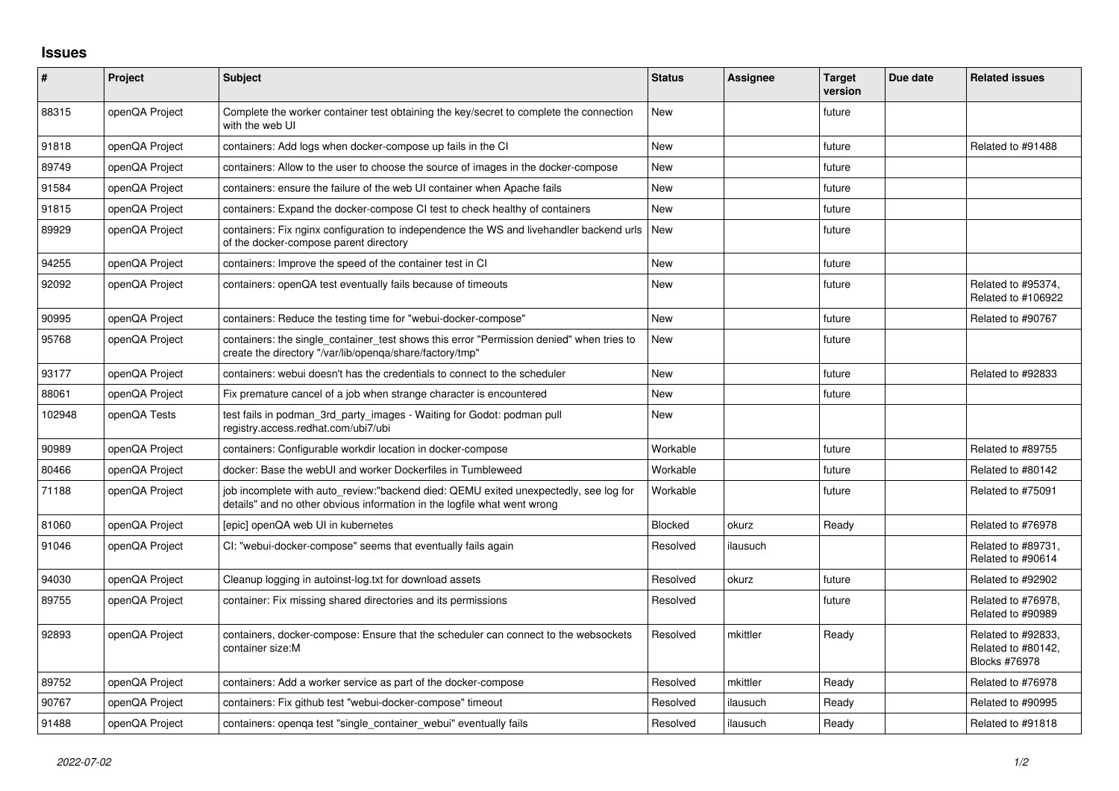## **Issues**

| #      | Project        | <b>Subject</b>                                                                                                                                                   | <b>Status</b>  | <b>Assignee</b> | <b>Target</b><br>version | Due date | <b>Related issues</b>                                     |
|--------|----------------|------------------------------------------------------------------------------------------------------------------------------------------------------------------|----------------|-----------------|--------------------------|----------|-----------------------------------------------------------|
| 88315  | openQA Project | Complete the worker container test obtaining the key/secret to complete the connection<br>with the web UI                                                        | <b>New</b>     |                 | future                   |          |                                                           |
| 91818  | openQA Project | containers: Add logs when docker-compose up fails in the CI                                                                                                      | <b>New</b>     |                 | future                   |          | Related to #91488                                         |
| 89749  | openQA Project | containers: Allow to the user to choose the source of images in the docker-compose                                                                               | <b>New</b>     |                 | future                   |          |                                                           |
| 91584  | openQA Project | containers: ensure the failure of the web UI container when Apache fails                                                                                         | <b>New</b>     |                 | future                   |          |                                                           |
| 91815  | openQA Project | containers: Expand the docker-compose CI test to check healthy of containers                                                                                     | <b>New</b>     |                 | future                   |          |                                                           |
| 89929  | openQA Project | containers: Fix nginx configuration to independence the WS and livehandler backend urls<br>of the docker-compose parent directory                                | <b>New</b>     |                 | future                   |          |                                                           |
| 94255  | openQA Project | containers: Improve the speed of the container test in CI                                                                                                        | New            |                 | future                   |          |                                                           |
| 92092  | openQA Project | containers: openQA test eventually fails because of timeouts                                                                                                     | <b>New</b>     |                 | future                   |          | Related to #95374,<br>Related to #106922                  |
| 90995  | openQA Project | containers: Reduce the testing time for "webui-docker-compose"                                                                                                   | <b>New</b>     |                 | future                   |          | Related to #90767                                         |
| 95768  | openQA Project | containers: the single_container_test shows this error "Permission denied" when tries to<br>create the directory "/var/lib/openga/share/factory/tmp"             | <b>New</b>     |                 | future                   |          |                                                           |
| 93177  | openQA Project | containers: webui doesn't has the credentials to connect to the scheduler                                                                                        | <b>New</b>     |                 | future                   |          | Related to #92833                                         |
| 88061  | openQA Project | Fix premature cancel of a job when strange character is encountered                                                                                              | <b>New</b>     |                 | future                   |          |                                                           |
| 102948 | openQA Tests   | test fails in podman_3rd_party_images - Waiting for Godot: podman pull<br>registry.access.redhat.com/ubi7/ubi                                                    | <b>New</b>     |                 |                          |          |                                                           |
| 90989  | openQA Project | containers: Configurable workdir location in docker-compose                                                                                                      | Workable       |                 | future                   |          | Related to #89755                                         |
| 80466  | openQA Project | docker: Base the webUI and worker Dockerfiles in Tumbleweed                                                                                                      | Workable       |                 | future                   |          | Related to #80142                                         |
| 71188  | openQA Project | job incomplete with auto_review:"backend died: QEMU exited unexpectedly, see log for<br>details" and no other obvious information in the logfile what went wrong | Workable       |                 | future                   |          | Related to #75091                                         |
| 81060  | openQA Project | Jepic] openQA web UI in kubernetes                                                                                                                               | <b>Blocked</b> | okurz           | Ready                    |          | Related to #76978                                         |
| 91046  | openQA Project | CI: "webui-docker-compose" seems that eventually fails again                                                                                                     | Resolved       | ilausuch        |                          |          | Related to #89731,<br>Related to #90614                   |
| 94030  | openQA Project | Cleanup logging in autoinst-log.txt for download assets                                                                                                          | Resolved       | okurz           | future                   |          | Related to #92902                                         |
| 89755  | openQA Project | container: Fix missing shared directories and its permissions                                                                                                    | Resolved       |                 | future                   |          | Related to #76978.<br>Related to #90989                   |
| 92893  | openQA Project | containers, docker-compose: Ensure that the scheduler can connect to the websockets<br>container size:M                                                          | Resolved       | mkittler        | Ready                    |          | Related to #92833,<br>Related to #80142,<br>Blocks #76978 |
| 89752  | openQA Project | containers: Add a worker service as part of the docker-compose                                                                                                   | Resolved       | mkittler        | Ready                    |          | Related to #76978                                         |
| 90767  | openQA Project | containers: Fix github test "webui-docker-compose" timeout                                                                                                       | Resolved       | ilausuch        | Ready                    |          | Related to #90995                                         |
| 91488  | openQA Project | containers: openga test "single container webui" eventually fails                                                                                                | Resolved       | ilausuch        | Ready                    |          | Related to #91818                                         |